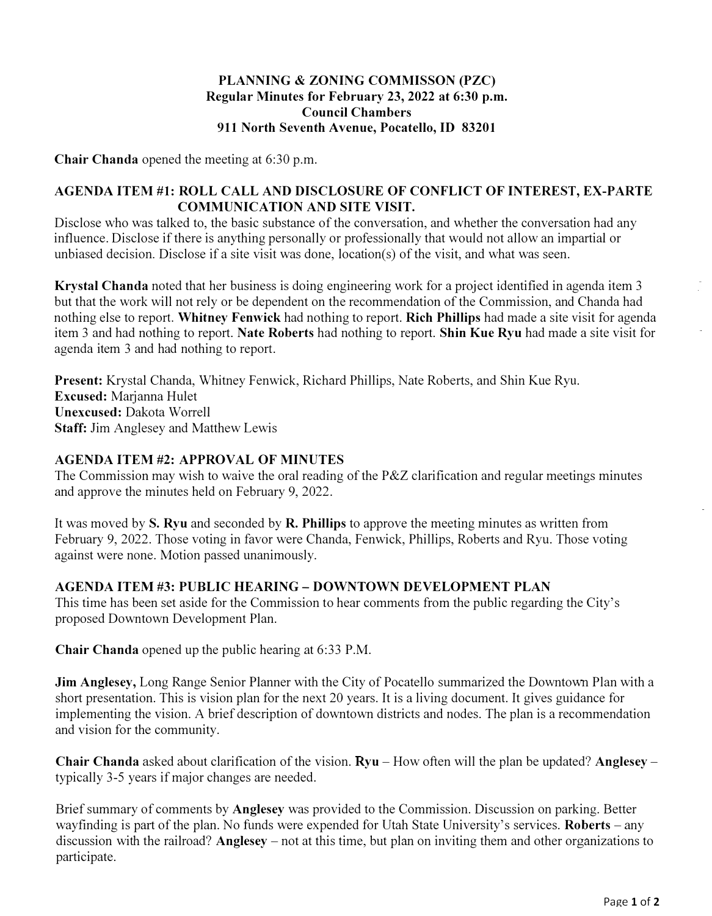## **PLANNING & ZONING COMMISSON (PZC) Regular Minutes for February 23, 2022 at 6:30 p.m. Council Chambers 911 North Seventh Avenue, Pocatello, ID 83201**

**Chair Chanda** opened the meeting at 6:30 p.m.

## **AGENDA ITEM #1: ROLL CALL AND DISCLOSURE OF CONFLICT OF INTEREST, EX-PARTE COMMUNICATION AND SITE VISIT.**

Disclose who was talked to, the basic substance of the conversation, and whether the conversation had any influence. Disclose if there is anything personally or professionally that would not allow an impartial or unbiased decision. Disclose if a site visit was done, location(s) of the visit, and what was seen.

**Krystal Chanda** noted that her business is doing engineering work for a project identified in agenda item 3 but that the work will not rely or be dependent on the recommendation of the Commission, and Chanda had nothing else to report. **Whitney Fenwick** had nothing to report. **Rich Phillips** had made a site visit for agenda item 3 and had nothing to report. **Nate Roberts** had nothing to report. **Shin Kue Ryu** had made a site visit for agenda item 3 and had nothing to report.

**Present:** Krystal Chanda, Whitney Fenwick, Richard Phillips, Nate Roberts, and Shin Kue Ryu. **Excused:** Marjanna Hulet **Unexcused:** Dakota Worrell **Staff:** Jim Anglesey and Matthew Lewis

## **AGENDA ITEM #2: APPROVAL OF MINUTES**

The Commission may wish to waive the oral reading of the P&Z clarification and regular meetings minutes and approve the minutes held on February 9, 2022.

It was moved by **S. Ryu** and seconded by **R. Phillips** to approve the meeting minutes as written from February 9, 2022. Those voting in favor were Chanda, Fenwick, Phillips, Roberts and Ryu. Those voting against were none. Motion passed unanimously.

## **AGENDA ITEM #3: PUBLIC HEARING - DOWNTOWN DEVELOPMENT PLAN**

This time has been set aside for the Commission to hear comments from the public regarding the City's proposed Downtown Development Plan.

**Chair Chanda** opened up the public hearing at 6:33 P.M.

**Jim Anglesey,** Long Range Senior Planner with the City of Pocatello summarized the Downtown Plan with a short presentation. This is vision plan for the next 20 years. It is a living document. It gives guidance for implementing the vision. A brief description of downtown districts and nodes. The plan is a recommendation and vision for the community.

**Chair Chanda** asked about clarification of the vision. **Ryu** – How often will the plan be updated? **Anglesey** – typically 3-5 years if major changes are needed.

Brief summary of comments by **Anglesey** was provided to the Commission. Discussion on parking. Better wayfinding is part of the plan. No funds were expended for Utah State University's services. **Roberts** - any discussion with the railroad? **Anglesey** – not at this time, but plan on inviting them and other organizations to participate.